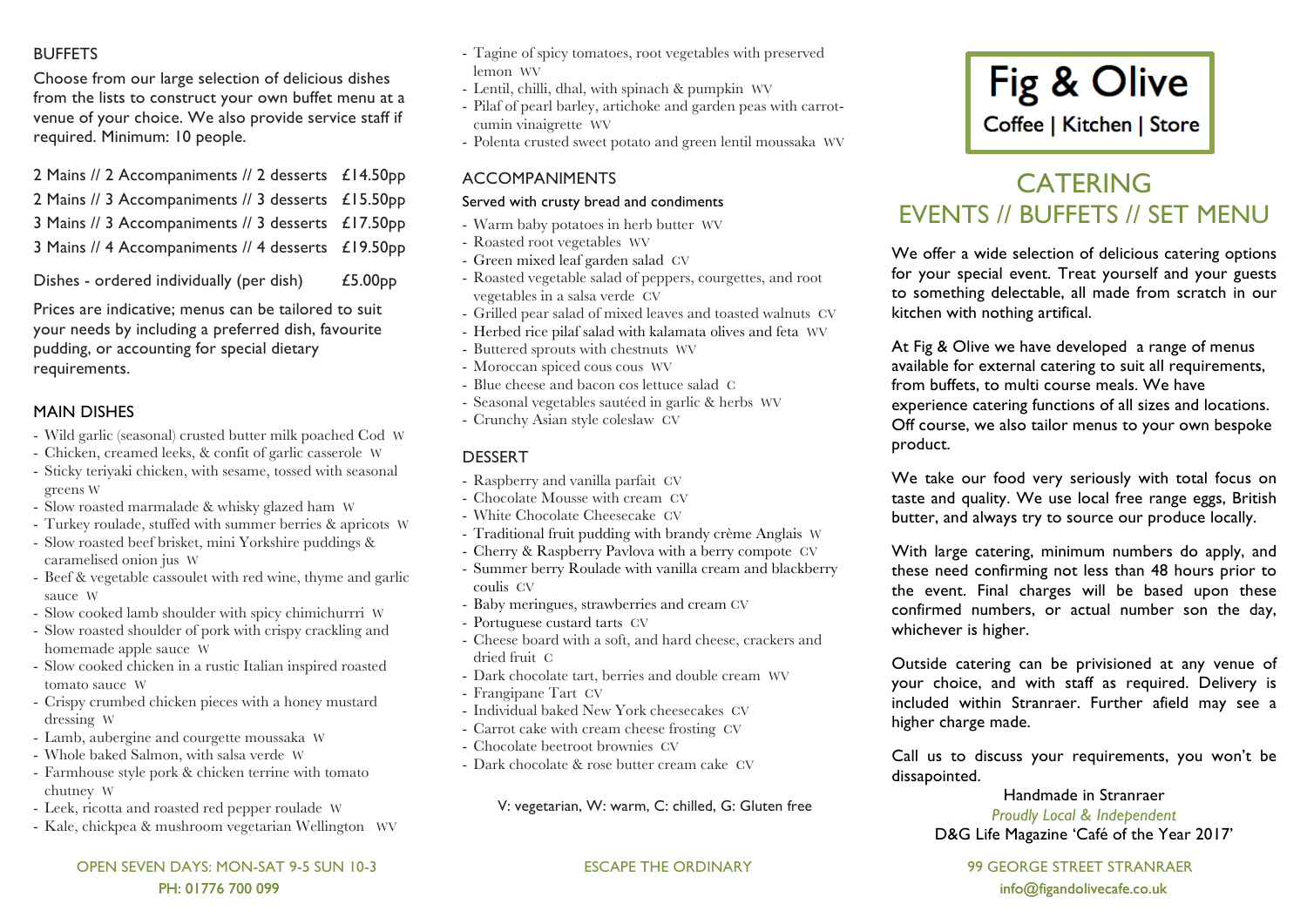## BUFFETS

Choose from our large selection of delicious dishes from the lists to construct your own buffet menu at a venue of your choice. We also provide service staff if required. Minimum: 10 people.

| 2 Mains // 2 Accompaniments // 2 desserts £14.50pp |                     |
|----------------------------------------------------|---------------------|
| 2 Mains // 3 Accompaniments // 3 desserts £15.50pp |                     |
| 3 Mains // 3 Accompaniments // 3 desserts £17.50pp |                     |
| 3 Mains // 4 Accompaniments // 4 desserts £19.50pp |                     |
| Dishes - ordered individually (per dish)           | £5.00 <sub>pp</sub> |

Prices are indicative; menus can be tailored to suit your needs by including a preferred dish, favourite pudding, or accounting for special dietary requirements.

## MAIN DISHES

- Wild garlic (seasonal) crusted butter milk poached Cod W
- Chicken, creamed leeks, & confit of garlic casserole W
- Sticky teriyaki chicken, with sesame, tossed with seasonal greens W
- Slow roasted marmalade & whisky glazed ham W
- Turkey roulade, stuffed with summer berries & apricots W
- Slow roasted beef brisket, mini Yorkshire puddings & caramelised onion jus W
- Beef & vegetable cassoulet with red wine, thyme and garlic sauce W
- Slow cooked lamb shoulder with spicy chimichurrri W
- Slow roasted shoulder of pork with crispy crackling and homemade apple sauce W
- Slow cooked chicken in a rustic Italian inspired roasted tomato sauce W
- Crispy crumbed chicken pieces with a honey mustard dressing W
- Lamb, aubergine and courgette moussaka W
- Whole baked Salmon, with salsa verde W
- Farmhouse style pork & chicken terrine with tomato chutney W
- Leek, ricotta and roasted red pepper roulade W
- Kale, chickpea & mushroom vegetarian Wellington WV

 OPEN SEVEN DAYS: MON-SAT 9-5 SUN 10-3 ESCAPE THE ORDINARY 99 GEORGE STREET STRANRAER PH: 01776 700 099 : info@figandolivecafe.co.uk ecanomic info@figandolivecafe.co.uk

- Tagine of spicy tomatoes, root vegetables with preserved lemon WV
- Lentil, chilli, dhal, with spinach & pumpkin WV
- Pilaf of pearl barley, artichoke and garden peas with carrotcumin vinaigrette WV
- Polenta crusted sweet potato and green lentil moussaka WV

## ACCOMPANIMENTS

#### Served with crusty bread and condiments

- Warm baby potatoes in herb butter WV
- Roasted root vegetables WV
- Green mixed leaf garden salad CV
- Roasted vegetable salad of peppers, courgettes, and root vegetables in a salsa verde CV
- Grilled pear salad of mixed leaves and toasted walnuts CV
- Herbed rice pilaf salad with kalamata olives and feta WV
- Buttered sprouts with chestnuts WV
- Moroccan spiced cous cous WV
- Blue cheese and bacon cos lettuce salad C
- Seasonal vegetables sautéed in garlic & herbs WV
- Crunchy Asian style coleslaw CV

# DESSERT

- Raspberry and vanilla parfait CV
- Chocolate Mousse with cream CV
- White Chocolate Cheesecake CV
- Traditional fruit pudding with brandy crème Anglais W
- Cherry & Raspberry Pavlova with a berry compote CV
- Summer berry Roulade with vanilla cream and blackberry coulis CV
- Baby meringues, strawberries and cream CV
- Portuguese custard tarts CV
- Cheese board with a soft, and hard cheese, crackers and dried fruit C
- Dark chocolate tart, berries and double cream WV
- Frangipane Tart CV
- Individual baked New York cheesecakes CV
- Carrot cake with cream cheese frosting CV
- Chocolate beetroot brownies CV
- Dark chocolate & rose butter cream cake CV

V: vegetarian, W: warm, C: chilled, G: Gluten free



# **CATERING** EVENTS // BUFFETS // SET MENU

We offer a wide selection of delicious catering options for your special event. Treat yourself and your guests to something delectable, all made from scratch in our kitchen with nothing artifical.

At Fig & Olive we have developed a range of menus available for external catering to suit all requirements, from buffets, to multi course meals. We have experience catering functions of all sizes and locations. Off course, we also tailor menus to your own bespoke product.

We take our food very seriously with total focus on taste and quality. We use local free range eggs, British butter, and always try to source our produce locally.

With large catering, minimum numbers do apply, and these need confirming not less than 48 hours prior to the event. Final charges will be based upon these confirmed numbers, or actual number son the day, whichever is higher.

Outside catering can be privisioned at any venue of your choice, and with staff as required. Delivery is included within Stranraer. Further afield may see a higher charge made.

Call us to discuss your requirements, you won't be dissapointed.

#### Handmade in Stranraer *Proudly Local & Independent* D&G Life Magazine 'Café of the Year 2017'